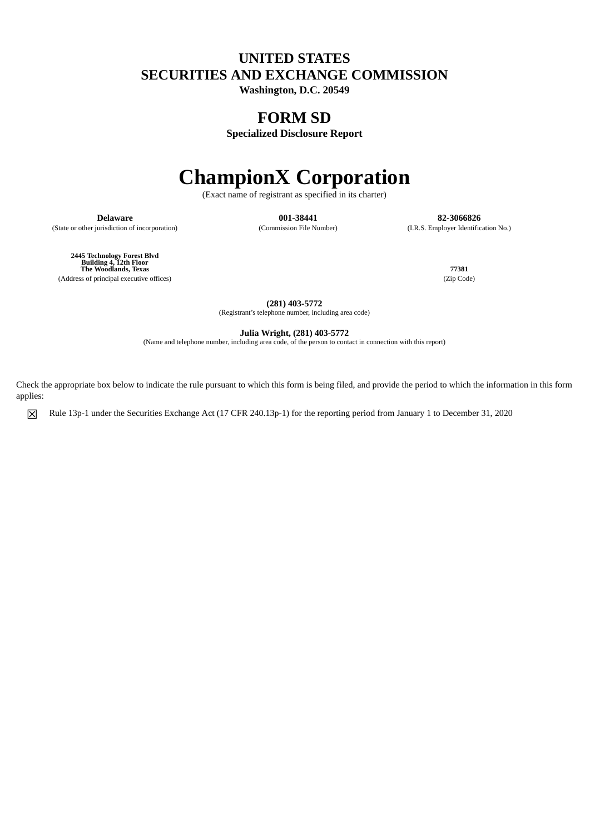## **UNITED STATES SECURITIES AND EXCHANGE COMMISSION**

**Washington, D.C. 20549**

# **FORM SD**

**Specialized Disclosure Report**

# **ChampionX Corporation**

(Exact name of registrant as specified in its charter)

**Delaware 001-38441 82-3066826** (State or other jurisdiction of incorporation) (Commission File Number) (I.R.S. Employer Identification No.)

**2445 Technology Forest Blvd Building 4, 12th Floor The Woodlands, Texas 77381** (Address of principal executive offices) (Zip Code)

**(281) 403-5772** (Registrant's telephone number, including area code)

**Julia Wright, (281) 403-5772**

(Name and telephone number, including area code, of the person to contact in connection with this report)

Check the appropriate box below to indicate the rule pursuant to which this form is being filed, and provide the period to which the information in this form applies:

☒ Rule 13p-1 under the Securities Exchange Act (17 CFR 240.13p-1) for the reporting period from January 1 to December 31, 2020